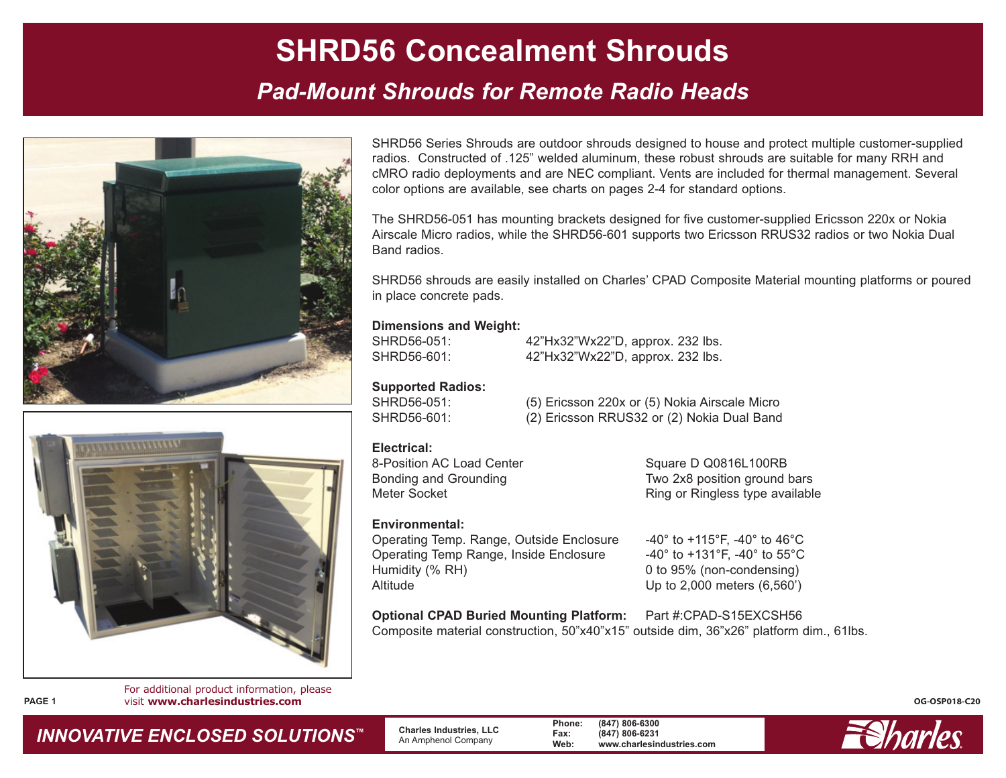### *Pad-Mount Shrouds for Remote Radio Heads*



**FFFFFFFFFFFF** 

For additional product information, please **PAGE 1** visit **www.charlesindustries.com**

SHRD56 Series Shrouds are outdoor shrouds designed to house and protect multiple customer-supplied radios. Constructed of .125" welded aluminum, these robust shrouds are suitable for many RRH and cMRO radio deployments and are NEC compliant. Vents are included for thermal management. Several color options are available, see charts on pages 2-4 for standard options.

The SHRD56-051 has mounting brackets designed for five customer-supplied Ericsson 220x or Nokia Airscale Micro radios, while the SHRD56-601 supports two Ericsson RRUS32 radios or two Nokia Dual Band radios.

SHRD56 shrouds are easily installed on Charles' CPAD Composite Material mounting platforms or poured in place concrete pads.

#### **Dimensions and Weight:**

SHRD56-051: 42"Hx32"Wx22"D, approx. 232 lbs. SHRD56-601: 42"Hx32"Wx22"D, approx. 232 lbs.

**Supported Radios:**

SHRD56-051: (5) Ericsson 220x or (5) Nokia Airscale Micro SHRD56-601: (2) Ericsson RRUS32 or (2) Nokia Dual Band

#### **Electrical:**

8-Position AC Load Center Square D Q0816L100RB Bonding and Grounding Two 2x8 position ground bars Meter Socket **Ring of Ringless type available** 

**Environmental:** Operating Temp. Range, Outside Enclosure -40° to +115°F, -40° to 46°C Operating Temp Range, Inside Enclosure -40° to +131°F, -40° to 55°C Humidity (% RH) 0 to 95% (non-condensing) Altitude Up to 2,000 meters (6,560')

**Optional CPAD Buried Mounting Platform:** Part #:CPAD-S15EXCSH56 Composite material construction, 50"x40"x15" outside dim, 36"x26" platform dim., 61lbs.



**OG-OSP018-C20**

### *INNOVATIVE ENCLOSED SOLUTIONS ™*

 **Charles Industries, LLC** An Amphenol Company

**Phone: (847) 806-6300 Fax: (847) 806-6231 Web: www.charlesindustries.com**

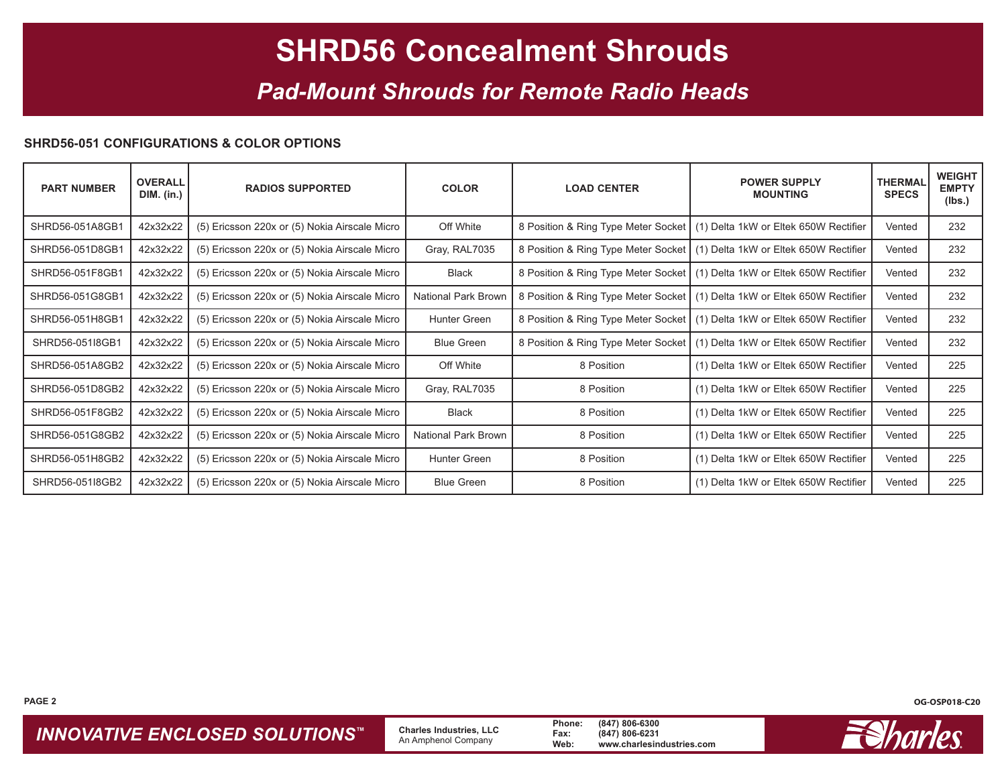### *Pad-Mount Shrouds for Remote Radio Heads*

#### **SHRD56-051 CONFIGURATIONS & COLOR OPTIONS**

| <b>PART NUMBER</b> | <b>OVERALL</b><br><b>DIM.</b> (in.) | <b>RADIOS SUPPORTED</b>                       | <b>COLOR</b>               | <b>LOAD CENTER</b>                  | <b>POWER SUPPLY</b><br><b>MOUNTING</b>                                      | <b>THERMAL</b><br><b>SPECS</b> | <b>WEIGHT</b><br><b>EMPTY</b><br>(Ibs.) |
|--------------------|-------------------------------------|-----------------------------------------------|----------------------------|-------------------------------------|-----------------------------------------------------------------------------|--------------------------------|-----------------------------------------|
| SHRD56-051A8GB1    | 42x32x22                            | (5) Ericsson 220x or (5) Nokia Airscale Micro | Off White                  |                                     | 8 Position & Ring Type Meter Socket   (1) Delta 1kW or Eltek 650W Rectifier | Vented                         | 232                                     |
| SHRD56-051D8GB1    | 42x32x22                            | (5) Ericsson 220x or (5) Nokia Airscale Micro | Gray, RAL7035              |                                     | 8 Position & Ring Type Meter Socket   (1) Delta 1kW or Eltek 650W Rectifier | Vented                         | 232                                     |
| SHRD56-051F8GB1    | 42x32x22                            | (5) Ericsson 220x or (5) Nokia Airscale Micro | <b>Black</b>               |                                     | 8 Position & Ring Type Meter Socket   (1) Delta 1kW or Eltek 650W Rectifier | Vented                         | 232                                     |
| SHRD56-051G8GB1    | 42x32x22                            | (5) Ericsson 220x or (5) Nokia Airscale Micro | <b>National Park Brown</b> |                                     | 8 Position & Ring Type Meter Socket   (1) Delta 1kW or Eltek 650W Rectifier | Vented                         | 232                                     |
| SHRD56-051H8GB1    | 42x32x22                            | (5) Ericsson 220x or (5) Nokia Airscale Micro | Hunter Green               | 8 Position & Ring Type Meter Socket | (1) Delta 1kW or Eltek 650W Rectifier                                       | Vented                         | 232                                     |
| SHRD56-051I8GB1    | 42x32x22                            | (5) Ericsson 220x or (5) Nokia Airscale Micro | <b>Blue Green</b>          | 8 Position & Ring Type Meter Socket | (1) Delta 1kW or Eltek 650W Rectifier                                       | Vented                         | 232                                     |
| SHRD56-051A8GB2    | 42x32x22                            | (5) Ericsson 220x or (5) Nokia Airscale Micro | Off White                  | 8 Position                          | (1) Delta 1kW or Eltek 650W Rectifier                                       | Vented                         | 225                                     |
| SHRD56-051D8GB2    | 42x32x22                            | (5) Ericsson 220x or (5) Nokia Airscale Micro | Gray, RAL7035              | 8 Position                          | (1) Delta 1kW or Eltek 650W Rectifier                                       | Vented                         | 225                                     |
| SHRD56-051F8GB2    | 42x32x22                            | (5) Ericsson 220x or (5) Nokia Airscale Micro | <b>Black</b>               | 8 Position                          | (1) Delta 1kW or Eltek 650W Rectifier                                       | Vented                         | 225                                     |
| SHRD56-051G8GB2    | 42x32x22                            | (5) Ericsson 220x or (5) Nokia Airscale Micro | National Park Brown        | 8 Position                          | (1) Delta 1kW or Eltek 650W Rectifier                                       | Vented                         | 225                                     |
| SHRD56-051H8GB2    | 42x32x22                            | (5) Ericsson 220x or (5) Nokia Airscale Micro | <b>Hunter Green</b>        | 8 Position                          | (1) Delta 1kW or Eltek 650W Rectifier                                       | Vented                         | 225                                     |
| SHRD56-051I8GB2    | 42x32x22                            | (5) Ericsson 220x or (5) Nokia Airscale Micro | <b>Blue Green</b>          | 8 Position                          | (1) Delta 1kW or Eltek 650W Rectifier                                       | Vented                         | 225                                     |

**PAGE 2 OG-OSP018-C20**

**INNOVATIVE ENCLOSED SOLUTIONS™** Charles Industries, LLC Phone: (847) 806-6300<br>An Amphenol Company Web: www.charlesindustries.com

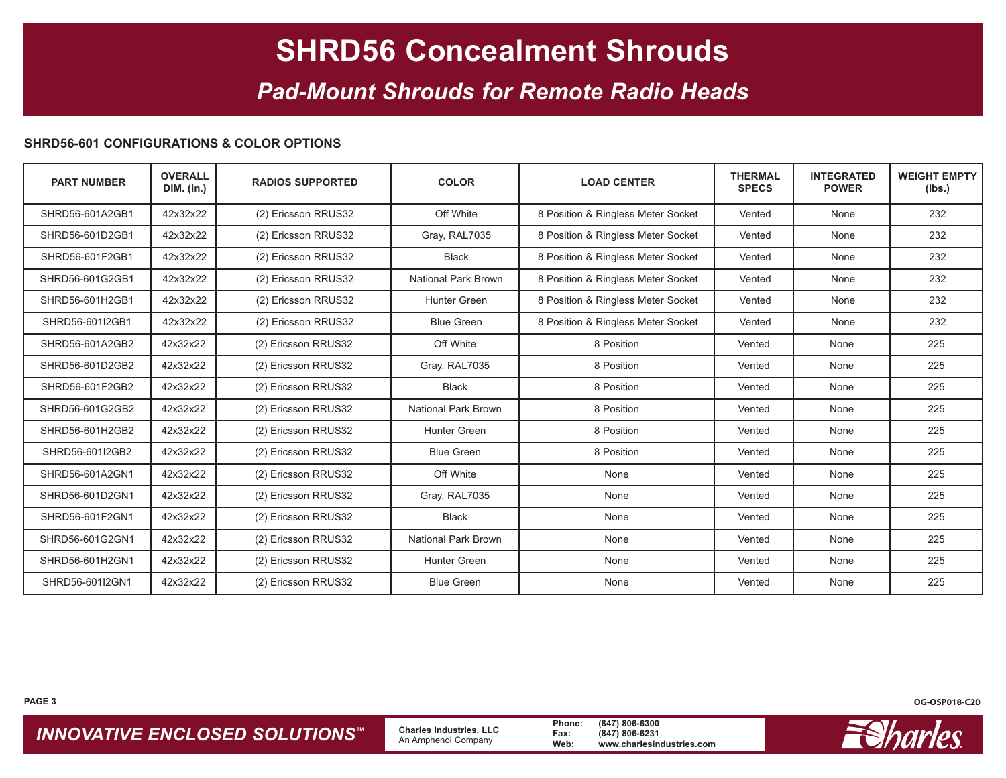### *Pad-Mount Shrouds for Remote Radio Heads*

#### **SHRD56-601 CONFIGURATIONS & COLOR OPTIONS**

| <b>PART NUMBER</b> | <b>OVERALL</b><br><b>DIM.</b> (in.) | <b>RADIOS SUPPORTED</b> | <b>COLOR</b>        | <b>LOAD CENTER</b>                 | <b>THERMAL</b><br><b>SPECS</b> | <b>INTEGRATED</b><br><b>POWER</b> | <b>WEIGHT EMPTY</b><br>(Ibs.) |
|--------------------|-------------------------------------|-------------------------|---------------------|------------------------------------|--------------------------------|-----------------------------------|-------------------------------|
| SHRD56-601A2GB1    | 42x32x22                            | (2) Ericsson RRUS32     | Off White           | 8 Position & Ringless Meter Socket | Vented                         | None                              | 232                           |
| SHRD56-601D2GB1    | 42x32x22                            | (2) Ericsson RRUS32     | Gray, RAL7035       | 8 Position & Ringless Meter Socket | Vented                         | None                              | 232                           |
| SHRD56-601F2GB1    | 42x32x22                            | (2) Ericsson RRUS32     | <b>Black</b>        | 8 Position & Ringless Meter Socket | Vented                         | None                              | 232                           |
| SHRD56-601G2GB1    | 42x32x22                            | (2) Ericsson RRUS32     | National Park Brown | 8 Position & Ringless Meter Socket | Vented                         | None                              | 232                           |
| SHRD56-601H2GB1    | 42x32x22                            | (2) Ericsson RRUS32     | Hunter Green        | 8 Position & Ringless Meter Socket | Vented                         | None                              | 232                           |
| SHRD56-601I2GB1    | 42x32x22                            | (2) Ericsson RRUS32     | <b>Blue Green</b>   | 8 Position & Ringless Meter Socket | Vented                         | None                              | 232                           |
| SHRD56-601A2GB2    | 42x32x22                            | (2) Ericsson RRUS32     | Off White           | 8 Position                         | Vented                         | None                              | 225                           |
| SHRD56-601D2GB2    | 42x32x22                            | (2) Ericsson RRUS32     | Gray, RAL7035       | 8 Position                         | Vented                         | None                              | 225                           |
| SHRD56-601F2GB2    | 42x32x22                            | (2) Ericsson RRUS32     | <b>Black</b>        | 8 Position                         | Vented                         | None                              | 225                           |
| SHRD56-601G2GB2    | 42x32x22                            | (2) Ericsson RRUS32     | National Park Brown | 8 Position                         | Vented                         | None                              | 225                           |
| SHRD56-601H2GB2    | 42x32x22                            | (2) Ericsson RRUS32     | Hunter Green        | 8 Position                         | Vented                         | None                              | 225                           |
| SHRD56-601I2GB2    | 42x32x22                            | (2) Ericsson RRUS32     | <b>Blue Green</b>   | 8 Position                         | Vented                         | None                              | 225                           |
| SHRD56-601A2GN1    | 42x32x22                            | (2) Ericsson RRUS32     | Off White           | None                               | Vented                         | None                              | 225                           |
| SHRD56-601D2GN1    | 42x32x22                            | (2) Ericsson RRUS32     | Gray, RAL7035       | None                               | Vented                         | None                              | 225                           |
| SHRD56-601F2GN1    | 42x32x22                            | (2) Ericsson RRUS32     | <b>Black</b>        | None                               | Vented                         | None                              | 225                           |
| SHRD56-601G2GN1    | 42x32x22                            | (2) Ericsson RRUS32     | National Park Brown | None                               | Vented                         | None                              | 225                           |
| SHRD56-601H2GN1    | 42x32x22                            | (2) Ericsson RRUS32     | Hunter Green        | None                               | Vented                         | None                              | 225                           |
| SHRD56-601I2GN1    | 42x32x22                            | (2) Ericsson RRUS32     | <b>Blue Green</b>   | None                               | Vented                         | None                              | 225                           |

**INNOVATIVE ENCLOSED SOLUTIONS™** Charles Industries, LLC Phone: (847) 806-6300<br>An Amphenol Company Web: www.charlesindustries.com

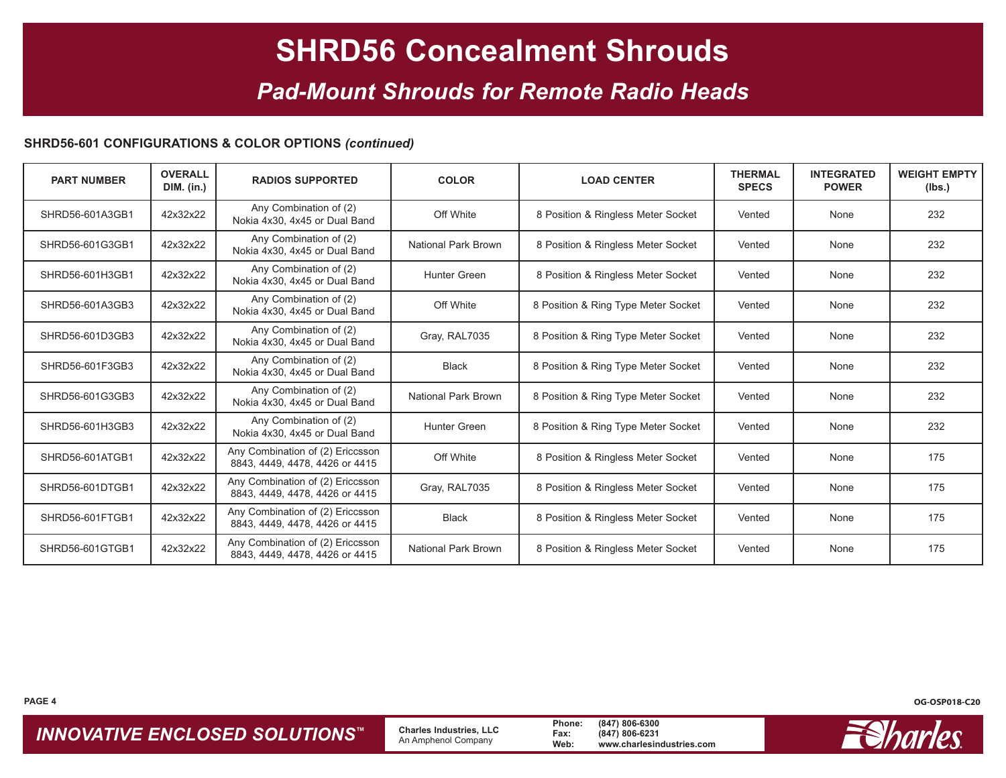### *Pad-Mount Shrouds for Remote Radio Heads*

#### **SHRD56-601 CONFIGURATIONS & COLOR OPTIONS** *(continued)*

| <b>PART NUMBER</b> | <b>OVERALL</b><br><b>DIM.</b> (in.) | <b>RADIOS SUPPORTED</b>                                            | <b>COLOR</b>        | <b>LOAD CENTER</b>                  | <b>THERMAL</b><br><b>SPECS</b> | <b>INTEGRATED</b><br><b>POWER</b> | <b>WEIGHT EMPTY</b><br>(lbs.) |
|--------------------|-------------------------------------|--------------------------------------------------------------------|---------------------|-------------------------------------|--------------------------------|-----------------------------------|-------------------------------|
| SHRD56-601A3GB1    | 42x32x22                            | Any Combination of (2)<br>Nokia 4x30, 4x45 or Dual Band            | Off White           | 8 Position & Ringless Meter Socket  | Vented                         | None                              | 232                           |
| SHRD56-601G3GB1    | 42x32x22                            | Any Combination of (2)<br>Nokia 4x30, 4x45 or Dual Band            | National Park Brown | 8 Position & Ringless Meter Socket  | Vented                         | None                              | 232                           |
| SHRD56-601H3GB1    | 42x32x22                            | Any Combination of (2)<br>Nokia 4x30, 4x45 or Dual Band            | Hunter Green        | 8 Position & Ringless Meter Socket  | Vented                         | None                              | 232                           |
| SHRD56-601A3GB3    | 42x32x22                            | Any Combination of (2)<br>Nokia 4x30, 4x45 or Dual Band            | Off White           | 8 Position & Ring Type Meter Socket | Vented                         | None                              | 232                           |
| SHRD56-601D3GB3    | 42x32x22                            | Any Combination of (2)<br>Nokia 4x30, 4x45 or Dual Band            | Gray, RAL7035       | 8 Position & Ring Type Meter Socket | Vented                         | None                              | 232                           |
| SHRD56-601F3GB3    | 42x32x22                            | Any Combination of (2)<br>Nokia 4x30, 4x45 or Dual Band            | <b>Black</b>        | 8 Position & Ring Type Meter Socket | Vented                         | None                              | 232                           |
| SHRD56-601G3GB3    | 42x32x22                            | Any Combination of (2)<br>Nokia 4x30, 4x45 or Dual Band            | National Park Brown | 8 Position & Ring Type Meter Socket | Vented                         | None                              | 232                           |
| SHRD56-601H3GB3    | 42x32x22                            | Any Combination of (2)<br>Nokia 4x30, 4x45 or Dual Band            | Hunter Green        | 8 Position & Ring Type Meter Socket | Vented                         | None                              | 232                           |
| SHRD56-601ATGB1    | 42x32x22                            | Any Combination of (2) Ericcsson<br>8843, 4449, 4478, 4426 or 4415 | Off White           | 8 Position & Ringless Meter Socket  | Vented                         | None                              | 175                           |
| SHRD56-601DTGB1    | 42x32x22                            | Any Combination of (2) Ericcsson<br>8843, 4449, 4478, 4426 or 4415 | Gray, RAL7035       | 8 Position & Ringless Meter Socket  | Vented                         | None                              | 175                           |
| SHRD56-601FTGB1    | 42x32x22                            | Any Combination of (2) Ericcsson<br>8843, 4449, 4478, 4426 or 4415 | <b>Black</b>        | 8 Position & Ringless Meter Socket  | Vented                         | None                              | 175                           |
| SHRD56-601GTGB1    | 42x32x22                            | Any Combination of (2) Ericcsson<br>8843, 4449, 4478, 4426 or 4415 | National Park Brown | 8 Position & Ringless Meter Socket  | Vented                         | None                              | 175                           |

**INNOVATIVE ENCLOSED SOLUTIONS™** Charles Industries, LLC Phone: (847) 806-6300<br>An Amphenol Company Web: www.charlesindustries.com



**PAGE 4 OG-OSP018-C20**